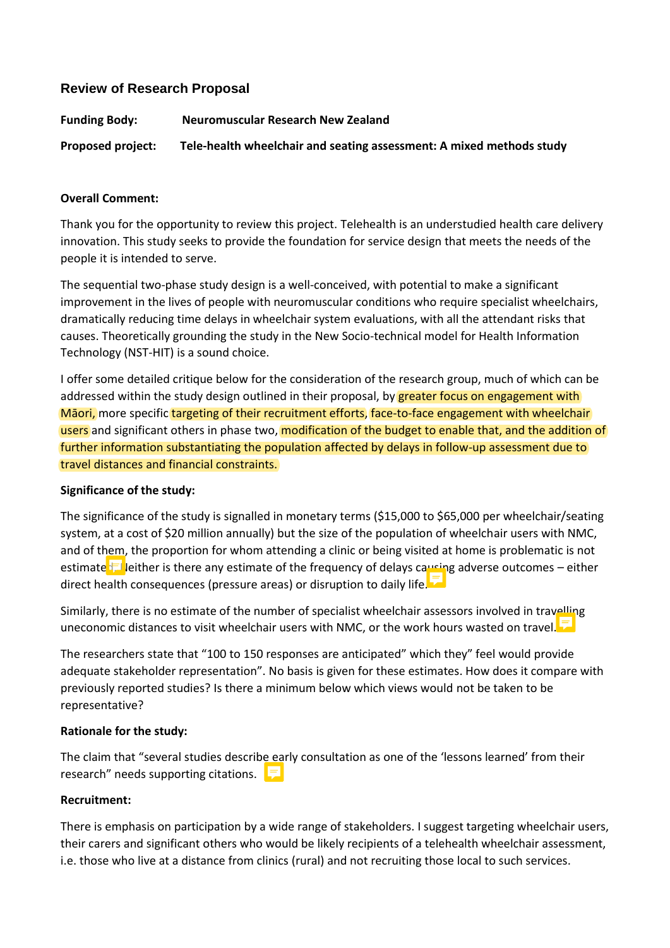# **Review of Research Proposal**

**Funding Body: Neuromuscular Research New Zealand Proposed project: Tele-health wheelchair and seating assessment: A mixed methods study**

# **Overall Comment:**

Thank you for the opportunity to review this project. Telehealth is an understudied health care delivery innovation. This study seeks to provide the foundation for service design that meets the needs of the people it is intended to serve.

The sequential two-phase study design is a well-conceived, with potential to make a significant improvement in the lives of people with neuromuscular conditions who require specialist wheelchairs, dramatically reducing time delays in wheelchair system evaluations, with all the attendant risks that causes. Theoretically grounding the study in the New Socio-technical model for Health Information Technology (NST-HIT) is a sound choice.

I offer some detailed critique below for the consideration of the research group, much of which can be addressed within the study design outlined in their proposal, by greater focus on engagement with Māori, more specific targeting of their recruitment efforts, face-to-face engagement with wheelchair users and significant others in phase two, modification of the budget to enable that, and the addition of further information substantiating the population affected by delays in follow-up assessment due to travel distances and financial constraints.

# **Significance of the study:**

The significance of the study is signalled in monetary terms (\$15,000 to \$65,000 per wheelchair/seating system, at a cost of \$20 million annually) but the size of the population of wheelchair users with NMC, and of them, the proportion for whom attending a clinic or being visited at home is problematic is not estimate  $\mathbb{R}$  leither is there any estimate of the frequency of delays causing adverse outcomes – either direct health consequences (pressure areas) or disruption to daily life.

Similarly, there is no estimate of the number of specialist wheelchair assessors involved in travelling uneconomic distances to visit wheelchair users with NMC, or the work hours wasted on travel.

The researchers state that "100 to 150 responses are anticipated" which they" feel would provide adequate stakeholder representation". No basis is given for these estimates. How does it compare with previously reported studies? Is there a minimum below which views would not be taken to be representative?

# **Rationale for the study:**

The claim that "several studies describe early consultation as one of the 'lessons learned' from their research" needs supporting citations.  $\boxed{\top}$ 

## **Recruitment:**

There is emphasis on participation by a wide range of stakeholders. I suggest targeting wheelchair users, their carers and significant others who would be likely recipients of a telehealth wheelchair assessment, i.e. those who live at a distance from clinics (rural) and not recruiting those local to such services.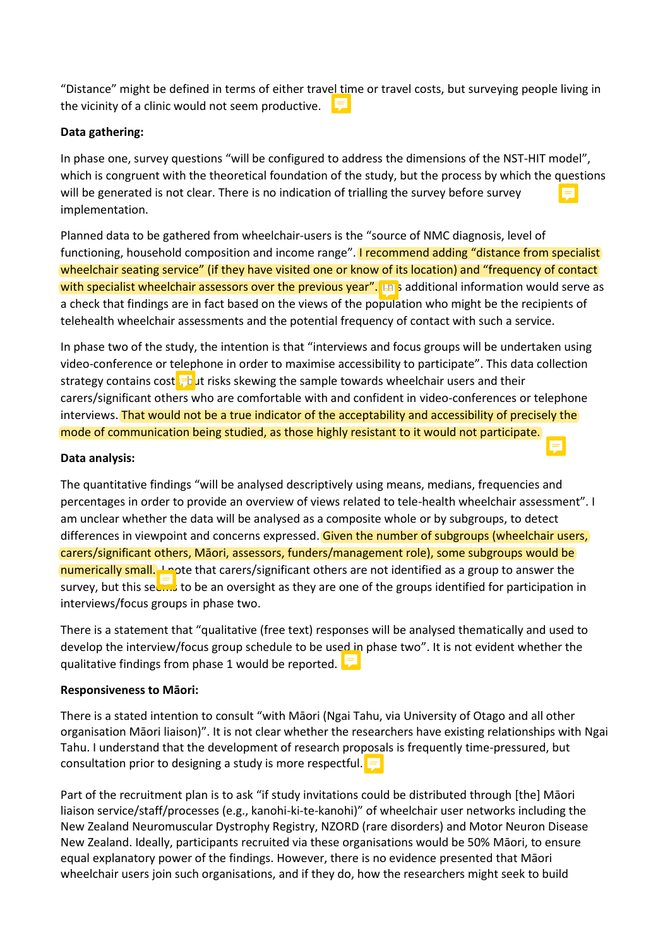"Distance" might be defined in terms of either travel time or travel costs, but surveying people living in the vicinity of a clinic would not seem productive.  $\Box$ 

# **Data gathering:**

In phase one, survey questions "will be configured to address the dimensions of the NST-HIT model", which is congruent with the theoretical foundation of the study, but the process by which the questions will be generated is not clear. There is no indication of trialling the survey before survey implementation.

Planned data to be gathered from wheelchair-users is the "source of NMC diagnosis, level of functioning, household composition and income range". I recommend adding "distance from specialist wheelchair seating service" (if they have visited one or know of its location) and "frequency of contact with specialist wheelchair assessors over the previous year".  $\Box$  is additional information would serve as a check that findings are in fact based on the views of the population who might be the recipients of telehealth wheelchair assessments and the potential frequency of contact with such a service.

In phase two of the study, the intention is that "interviews and focus groups will be undertaken using video-conference or telephone in order to maximise accessibility to participate". This data collection strategy contains cost  $\mathbf{b}$ ut risks skewing the sample towards wheelchair users and their carers/significant others who are comfortable with and confident in video-conferences or telephone interviews. That would not be a true indicator of the acceptability and accessibility of precisely the mode of communication being studied, as those highly resistant to it would not participate.

## **Data analysis:**

The quantitative findings "will be analysed descriptively using means, medians, frequencies and percentages in order to provide an overview of views related to tele-health wheelchair assessment". I am unclear whether the data will be analysed as a composite whole or by subgroups, to detect differences in viewpoint and concerns expressed. Given the number of subgroups (wheelchair users, carers/significant others, Māori, assessors, funders/management role), some subgroups would be numerically small. I note that carers/significant others are not identified as a group to answer the survey, but this seems to be an oversight as they are one of the groups identified for participation in interviews/focus groups in phase two.

There is a statement that "qualitative (free text) responses will be analysed thematically and used to develop the interview/focus group schedule to be used in phase two". It is not evident whether the qualitative findings from phase 1 would be reported.  $\Box$ 

## **Responsiveness to Māori:**

There is a stated intention to consult "with Māori (Ngai Tahu, via University of Otago and all other organisation Māori liaison)". It is not clear whether the researchers have existing relationships with Ngai Tahu. I understand that the development of research proposals is frequently time-pressured, but consultation prior to designing a study is more respectful.  $\blacksquare$ 

Part of the recruitment plan is to ask "if study invitations could be distributed through [the] Māori liaison service/staff/processes (e.g., kanohi-ki-te-kanohi)" of wheelchair user networks including the New Zealand Neuromuscular Dystrophy Registry, NZORD (rare disorders) and Motor Neuron Disease New Zealand. Ideally, participants recruited via these organisations would be 50% Māori, to ensure equal explanatory power of the findings. However, there is no evidence presented that Māori wheelchair users join such organisations, and if they do, how the researchers might seek to build